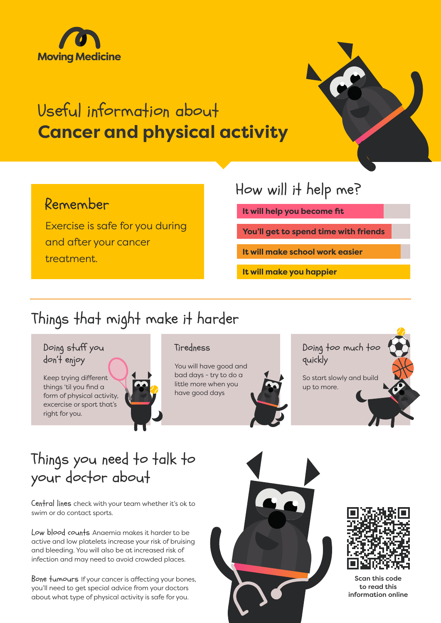

# Useful information about **Cancer and physical activity**

### Remember

Exercise is safe for you during and after your cancer treatment.

## How will it help me?

**It will help you become fit**

**You'll get to spend time with friends**

**It will make school work easier**

**It will make you happier**

# Things that might make it harder



## Things you need to talk to your doctor about

Central lines check with your team whether it's ok to swim or do contact sports.

Low blood counts Anaemia makes it harder to be active and low platelets increase your risk of bruising and bleeding. You will also be at increased risk of infection and may need to avoid crowded places.

Bone tumours If your cancer is affecting your bones, you'll need to get special advice from your doctors about what type of physical activity is safe for you.





Scan this code to read this information online